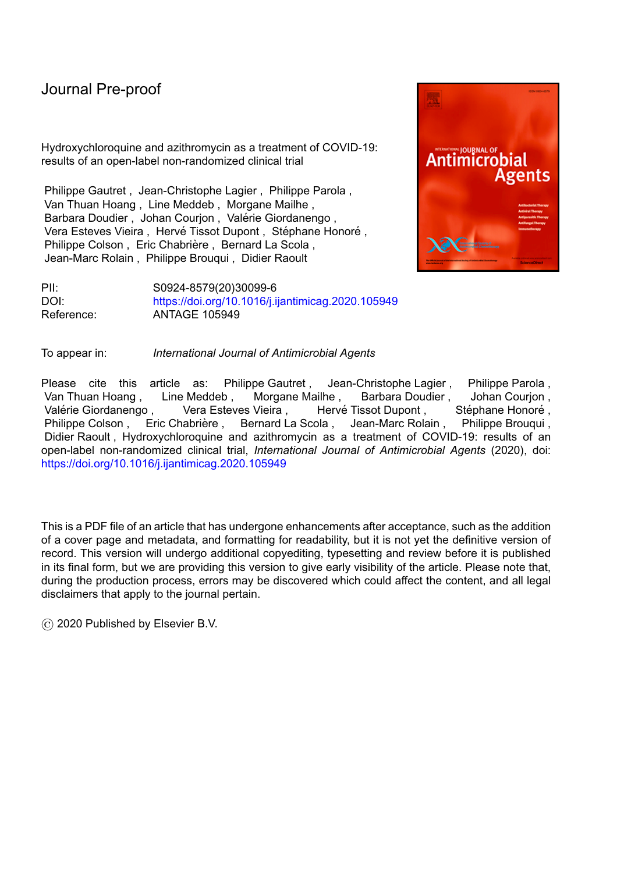Hydroxychloroquine and azithromycin as a treatment of COVID-19: results of an open-label non-randomized clinical trial

Philippe Gautret , Jean-Christophe Lagier , Philippe Parola , Van Thuan Hoang , Line Meddeb , Morgane Mailhe , Barbara Doudier, Johan Courion, Valérie Giordanengo, Vera Esteves Vieira, Hervé Tissot Dupont, Stéphane Honoré, Philippe Colson , Eric Chabrière , Bernard La Scola . Jean-Marc Rolain , Philippe Brouqui , Didier Raoult



PII: S0924-8579(20)30099-6 DOI: <https://doi.org/10.1016/j.ijantimicag.2020.105949> Reference: ANTAGE 105949

To appear in: *International Journal of Antimicrobial Agents*

Please cite this article as: Philippe-Gautret, Jean-Christophe-Lagier, Philippe-Parola, Van Thuan Hoang , Line Meddeb , Morgane Mailhe , Barbara Doudier , Johan Courjon , Valérie Giordanengo , Vera Esteves Vieira , Hervé Tissot Dupont , Stéphane Honoré , Valérie Giordanengo , Vera Esteves Vieira , Hervé Tissot Dupont , Philippe Colson, Eric Chabrière, Bernard La Scola, Jean-Marc Rolain, Philippe Brouqui, Didier Raoult , Hydroxychloroquine and azithromycin as a treatment of COVID-19: results of an open-label non-randomized clinical trial, *International Journal of Antimicrobial Agents* (2020), doi: <https://doi.org/10.1016/j.ijantimicag.2020.105949>

This is a PDF file of an article that has undergone enhancements after acceptance, such as the addition of a cover page and metadata, and formatting for readability, but it is not yet the definitive version of record. This version will undergo additional copyediting, typesetting and review before it is published in its final form, but we are providing this version to give early visibility of the article. Please note that, during the production process, errors may be discovered which could affect the content, and all legal disclaimers that apply to the journal pertain.

© 2020 Published by Elsevier B.V.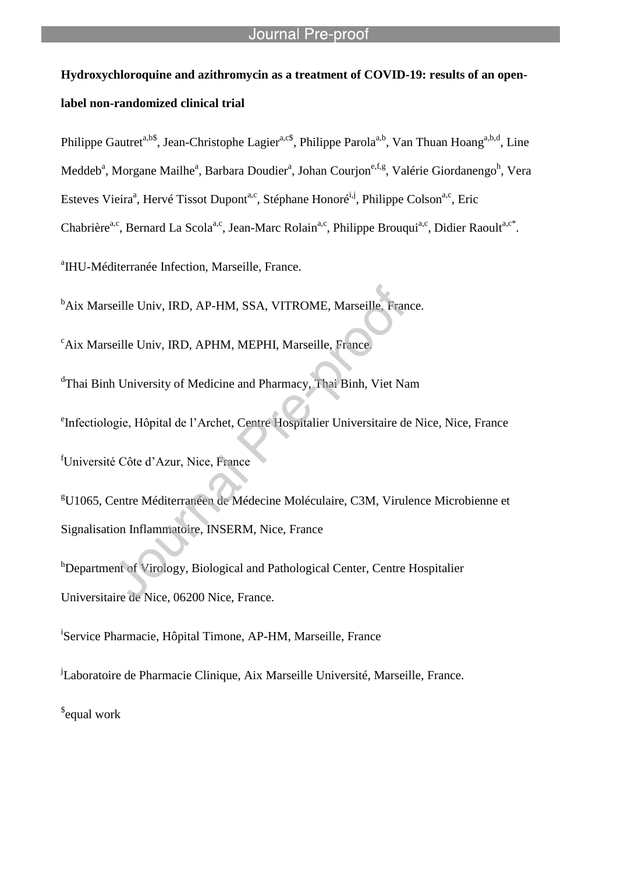# **Hydroxychloroquine and azithromycin as a treatment of COVID-19: results of an openlabel non-randomized clinical trial**

Philippe Gautret<sup>a,b\$</sup>, Jean-Christophe Lagier<sup>a,c\$</sup>, Philippe Parola<sup>a,b</sup>, Van Thuan Hoang<sup>a,b,d</sup>, Line Meddeb<sup>a</sup>, Morgane Mailhe<sup>a</sup>, Barbara Doudier<sup>a</sup>, Johan Courjon<sup>e,f,g</sup>, Valérie Giordanengo<sup>h</sup>, Vera Esteves Vieira<sup>a</sup>, Hervé Tissot Dupont<sup>a,c</sup>, Stéphane Honoré<sup>i,j</sup>, Philippe Colson<sup>a,c</sup>, Eric Chabrière<sup>a,c</sup>, Bernard La Scola<sup>a,c</sup>, Jean-Marc Rolain<sup>a,c</sup>, Philippe Brouqui<sup>a,c</sup>, Didier Raoult<sup>a,c\*</sup>.

<sup>a</sup>IHU-Méditerranée Infection, Marseille, France.

<sup>b</sup>Aix Marseille Univ, IRD, AP-HM, SSA, VITROME, Marseille, France.

<sup>c</sup>Aix Marseille Univ, IRD, APHM, MEPHI, Marseille, France.

l

dThai Binh University of Medicine and Pharmacy, Thai Binh, Viet Nam

e Infectiologie, Hôpital de l'Archet, Centre Hospitalier Universitaire de Nice, Nice, France

<sup>f</sup>Université Côte d'Azur, Nice, France

<sup>g</sup>U1065, Centre Méditerranéen de Médecine Moléculaire, C3M, Virulence Microbienne et Signalisation Inflammatoire, INSERM, Nice, France

<sup>h</sup>Department of Virology, Biological and Pathological Center, Centre Hospitalier Universitaire de Nice, 06200 Nice, France.

<sup>i</sup>Service Pharmacie, Hôpital Timone, AP-HM, Marseille, France

<sup>j</sup>Laboratoire de Pharmacie Clinique, Aix Marseille Université, Marseille, France.

\$ equal work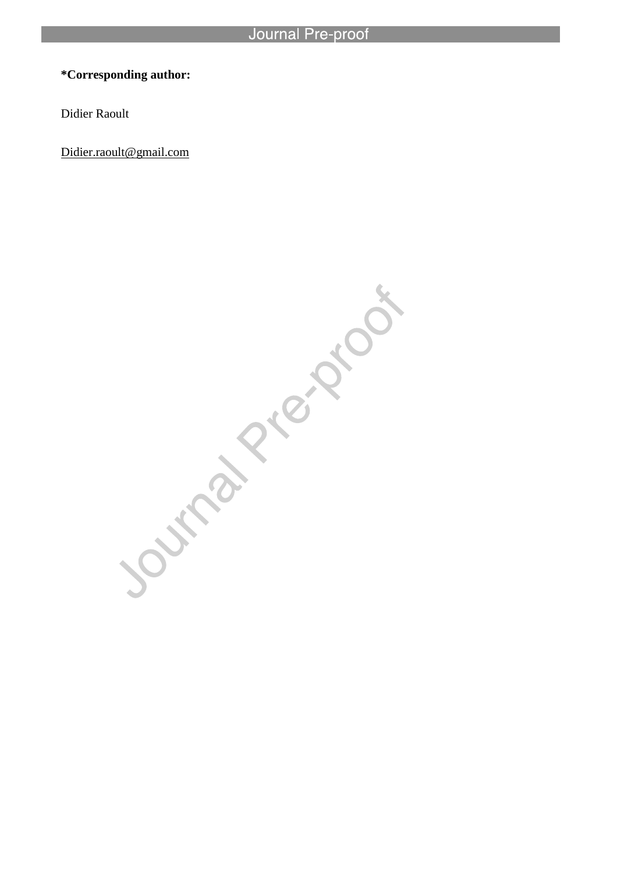# **\*Corresponding author:**

Didier Raoult

Didier.raoult@gmail.com

Journal Piercentos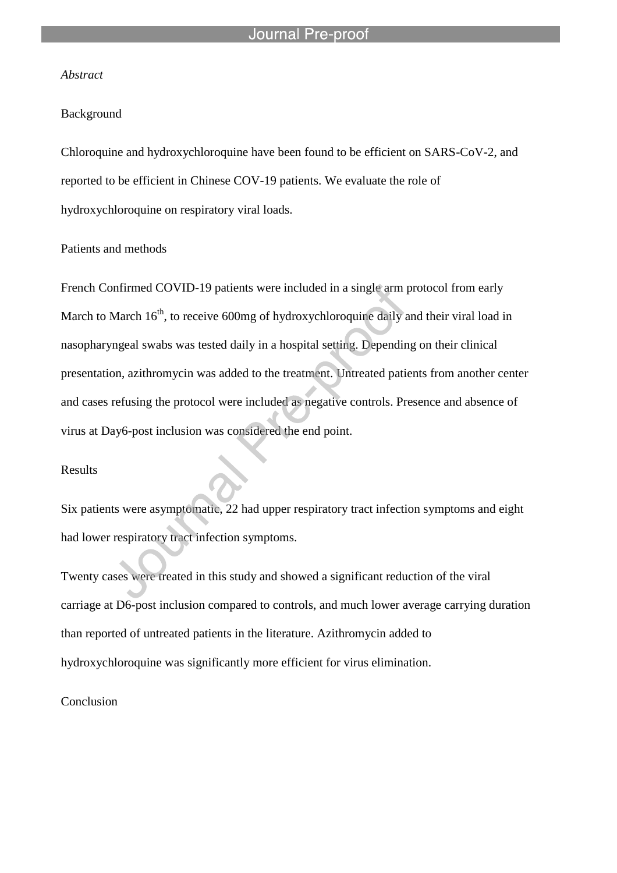l

## *Abstract*

#### Background

Chloroquine and hydroxychloroquine have been found to be efficient on SARS-CoV-2, and reported to be efficient in Chinese COV-19 patients. We evaluate the role of hydroxychloroquine on respiratory viral loads.

#### Patients and methods

French Confirmed COVID-19 patients were included in a single arm protocol from early March to March 16<sup>th</sup>, to receive 600mg of hydroxychloroquine daily and their viral load in nasopharyngeal swabs was tested daily in a hospital setting. Depending on their clinical presentation, azithromycin was added to the treatment. Untreated patients from another center and cases refusing the protocol were included as negative controls. Presence and absence of virus at Day6-post inclusion was considered the end point.

#### Results

Six patients were asymptomatic, 22 had upper respiratory tract infection symptoms and eight had lower respiratory tract infection symptoms.

Twenty cases were treated in this study and showed a significant reduction of the viral carriage at D6-post inclusion compared to controls, and much lower average carrying duration than reported of untreated patients in the literature. Azithromycin added to hydroxychloroquine was significantly more efficient for virus elimination.

### Conclusion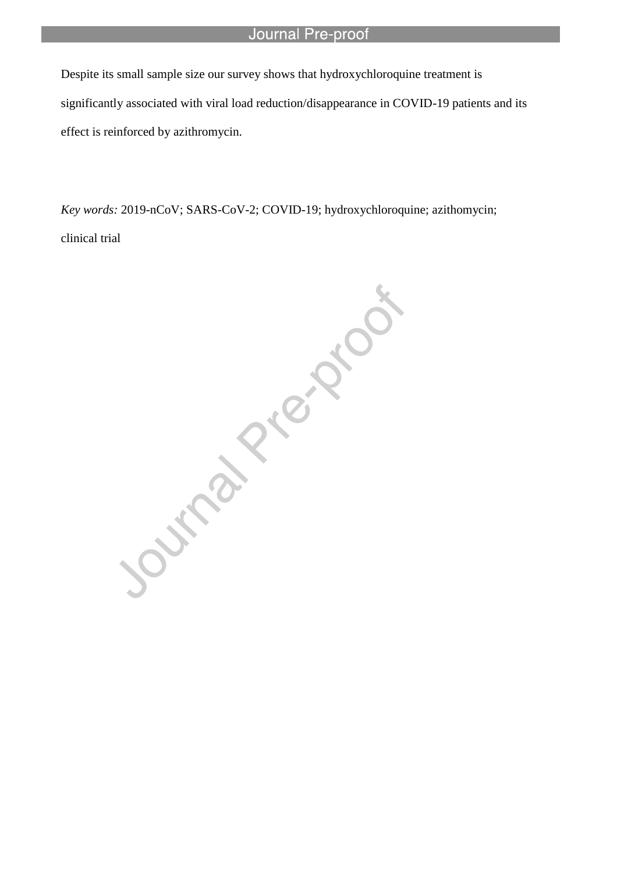Despite its small sample size our survey shows that hydroxychloroquine treatment is significantly associated with viral load reduction/disappearance in COVID-19 patients and its effect is reinforced by azithromycin.

l

clinical trial

*Key words: 2019-nCoV; SARS-CoV-2; COVID-19; hydroxychloroquine; azithomycin;*<br>clinical trial<br>distriction of the control of the control of the control of the control of the control of the control of the control of the cont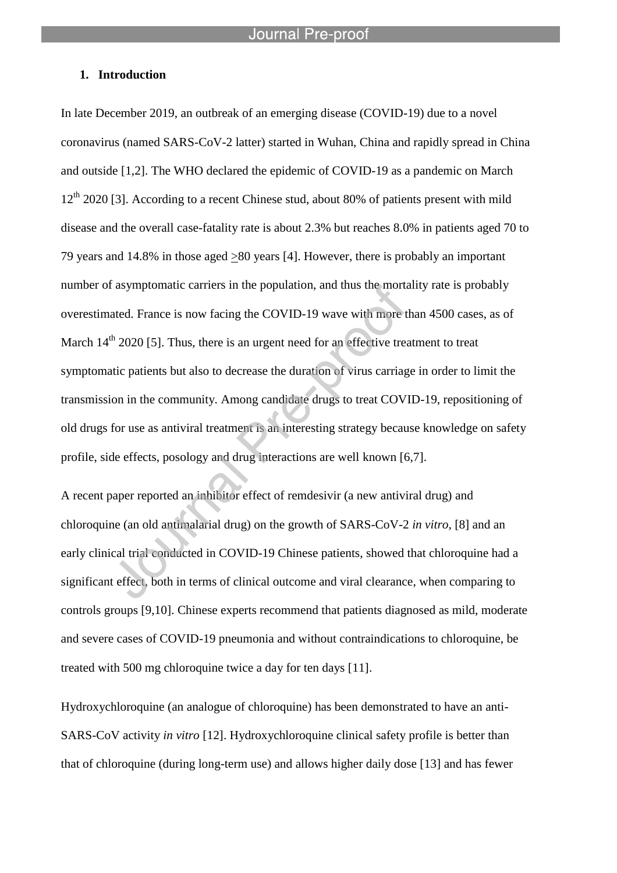### **1. Introduction**

In late December 2019, an outbreak of an emerging disease (COVID-19) due to a novel coronavirus (named SARS-CoV-2 latter) started in Wuhan, China and rapidly spread in China and outside [1,2]. The WHO declared the epidemic of COVID-19 as a pandemic on March 12<sup>th</sup> 2020 [3]. According to a recent Chinese stud, about 80% of patients present with mild disease and the overall case-fatality rate is about 2.3% but reaches 8.0% in patients aged 70 to 79 years and 14.8% in those aged >80 years [4]. However, there is probably an important number of asymptomatic carriers in the population, and thus the mortality rate is probably overestimated. France is now facing the COVID-19 wave with more than 4500 cases, as of March 14<sup>th</sup> 2020 [5]. Thus, there is an urgent need for an effective treatment to treat symptomatic patients but also to decrease the duration of virus carriage in order to limit the transmission in the community. Among candidate drugs to treat COVID-19, repositioning of old drugs for use as antiviral treatment is an interesting strategy because knowledge on safety profile, side effects, posology and drug interactions are well known [6,7].

A recent paper reported an inhibitor effect of remdesivir (a new antiviral drug) and chloroquine (an old antimalarial drug) on the growth of SARS-CoV-2 *in vitro,* [8] and an early clinical trial conducted in COVID-19 Chinese patients, showed that chloroquine had a significant effect, both in terms of clinical outcome and viral clearance, when comparing to controls groups [9,10]. Chinese experts recommend that patients diagnosed as mild, moderate and severe cases of COVID-19 pneumonia and without contraindications to chloroquine, be treated with 500 mg chloroquine twice a day for ten days [11].

Hydroxychloroquine (an analogue of chloroquine) has been demonstrated to have an anti-SARS-CoV activity *in vitro* [12]. Hydroxychloroquine clinical safety profile is better than that of chloroquine (during long-term use) and allows higher daily dose [13] and has fewer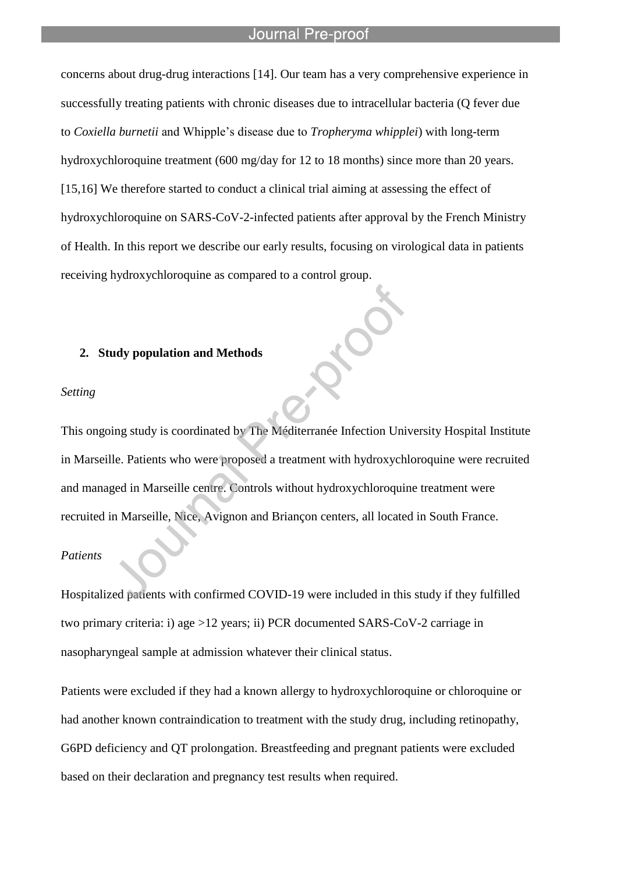l

concerns about drug-drug interactions [14]. Our team has a very comprehensive experience in successfully treating patients with chronic diseases due to intracellular bacteria (Q fever due to *Coxiella burnetii* and Whipple's disease due to *Tropheryma whipplei*) with long-term hydroxychloroquine treatment (600 mg/day for 12 to 18 months) since more than 20 years. [15,16] We therefore started to conduct a clinical trial aiming at assessing the effect of hydroxychloroquine on SARS-CoV-2-infected patients after approval by the French Ministry of Health. In this report we describe our early results, focusing on virological data in patients receiving hydroxychloroquine as compared to a control group.

### **2. Study population and Methods**

#### *Setting*

This ongoing study is coordinated by The Méditerranée Infection University Hospital Institute in Marseille. Patients who were proposed a treatment with hydroxychloroquine were recruited and managed in Marseille centre. Controls without hydroxychloroquine treatment were recruited in Marseille, Nice, Avignon and Briançon centers, all located in South France.

#### *Patients*

Hospitalized patients with confirmed COVID-19 were included in this study if they fulfilled two primary criteria: i) age >12 years; ii) PCR documented SARS-CoV-2 carriage in nasopharyngeal sample at admission whatever their clinical status.

Patients were excluded if they had a known allergy to hydroxychloroquine or chloroquine or had another known contraindication to treatment with the study drug, including retinopathy, G6PD deficiency and QT prolongation. Breastfeeding and pregnant patients were excluded based on their declaration and pregnancy test results when required.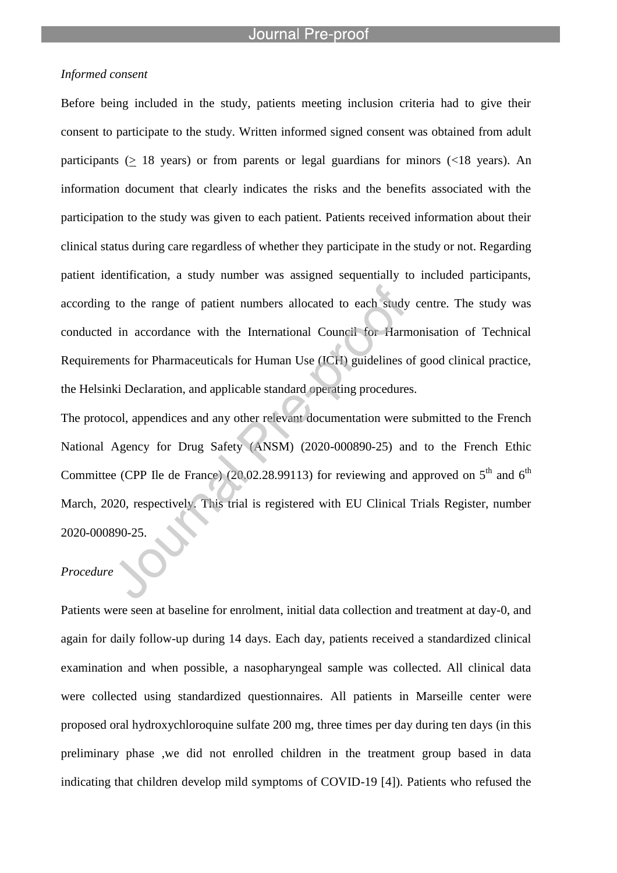# *Informed consent*

Before being included in the study, patients meeting inclusion criteria had to give their consent to participate to the study. Written informed signed consent was obtained from adult participants ( $\geq$  18 years) or from parents or legal guardians for minors (<18 years). An information document that clearly indicates the risks and the benefits associated with the participation to the study was given to each patient. Patients received information about their clinical status during care regardless of whether they participate in the study or not. Regarding patient identification, a study number was assigned sequentially to included participants, according to the range of patient numbers allocated to each study centre. The study was conducted in accordance with the International Council for Harmonisation of Technical Requirements for Pharmaceuticals for Human Use (ICH) guidelines of good clinical practice, the Helsinki Declaration, and applicable standard operating procedures.

The protocol, appendices and any other relevant documentation were submitted to the French National Agency for Drug Safety (ANSM) (2020-000890-25) and to the French Ethic Committee (CPP Ile de France) (20.02.28.99113) for reviewing and approved on  $5<sup>th</sup>$  and  $6<sup>th</sup>$ March, 2020, respectively. This trial is registered with EU Clinical Trials Register, number 2020-000890-25.

# *Procedure*

Patients were seen at baseline for enrolment, initial data collection and treatment at day-0, and again for daily follow-up during 14 days. Each day, patients received a standardized clinical examination and when possible, a nasopharyngeal sample was collected. All clinical data were collected using standardized questionnaires. All patients in Marseille center were proposed oral hydroxychloroquine sulfate 200 mg, three times per day during ten days (in this preliminary phase ,we did not enrolled children in the treatment group based in data indicating that children develop mild symptoms of COVID-19 [4]). Patients who refused the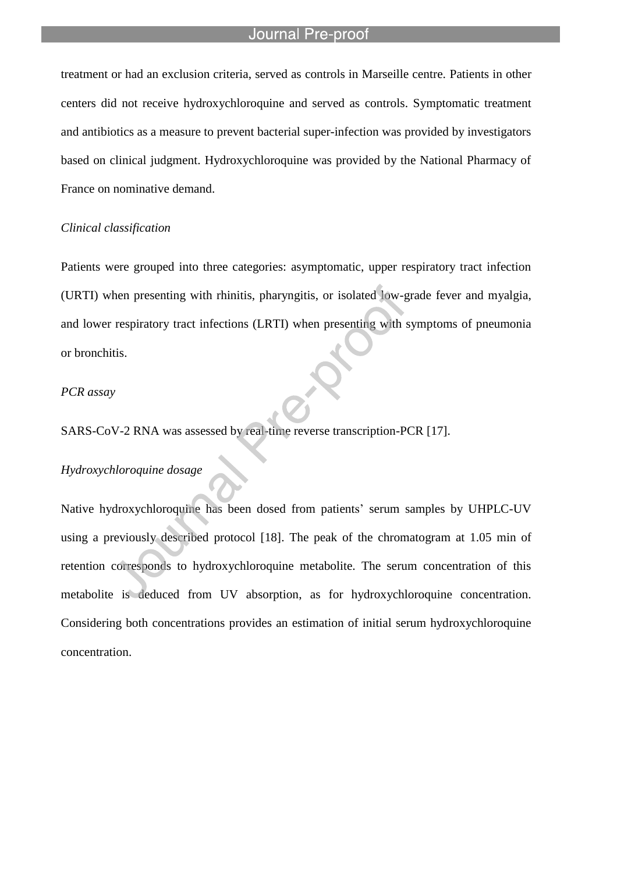l

treatment or had an exclusion criteria, served as controls in Marseille centre. Patients in other centers did not receive hydroxychloroquine and served as controls. Symptomatic treatment and antibiotics as a measure to prevent bacterial super-infection was provided by investigators based on clinical judgment. Hydroxychloroquine was provided by the National Pharmacy of France on nominative demand.

#### *Clinical classification*

Patients were grouped into three categories: asymptomatic, upper respiratory tract infection (URTI) when presenting with rhinitis, pharyngitis, or isolated low-grade fever and myalgia, and lower respiratory tract infections (LRTI) when presenting with symptoms of pneumonia or bronchitis.

### *PCR assay*

SARS-CoV-2 RNA was assessed by real-time reverse transcription-PCR [17].

#### *Hydroxychloroquine dosage*

Native hydroxychloroquine has been dosed from patients' serum samples by UHPLC-UV using a previously described protocol [18]. The peak of the chromatogram at 1.05 min of retention corresponds to hydroxychloroquine metabolite. The serum concentration of this metabolite is deduced from UV absorption, as for hydroxychloroquine concentration. Considering both concentrations provides an estimation of initial serum hydroxychloroquine concentration.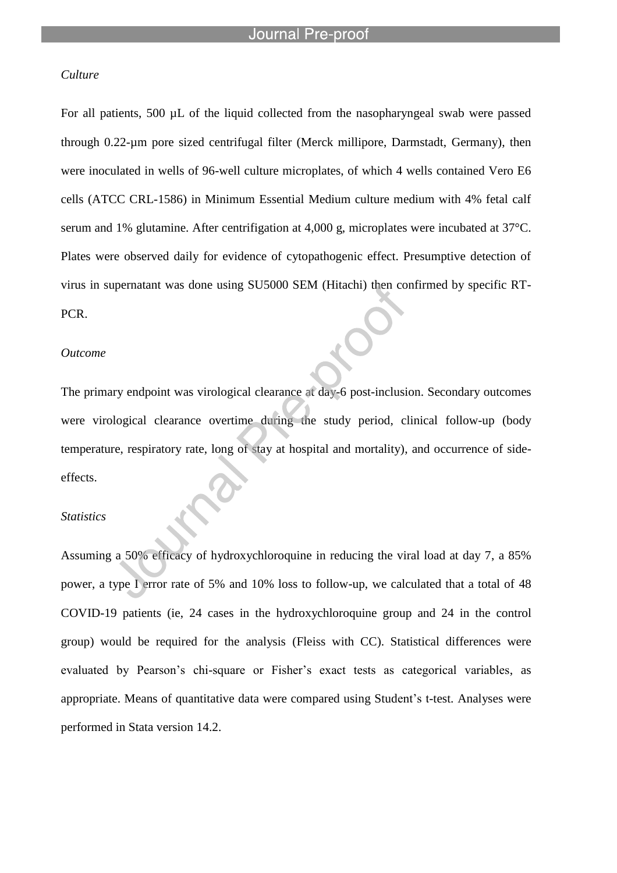## *Culture*

For all patients, 500 µL of the liquid collected from the nasopharyngeal swab were passed through 0.22-µm pore sized centrifugal filter (Merck millipore, Darmstadt, Germany), then were inoculated in wells of 96-well culture microplates, of which 4 wells contained Vero E6 cells (ATCC CRL-1586) in Minimum Essential Medium culture medium with 4% fetal calf serum and 1% glutamine. After centrifigation at 4,000 g, microplates were incubated at 37°C. Plates were observed daily for evidence of cytopathogenic effect. Presumptive detection of virus in supernatant was done using SU5000 SEM (Hitachi) then confirmed by specific RT-PCR.

#### *Outcome*

The primary endpoint was virological clearance at day-6 post-inclusion. Secondary outcomes were virological clearance overtime during the study period, clinical follow-up (body temperature, respiratory rate, long of stay at hospital and mortality), and occurrence of sideeffects.

#### *Statistics*

Assuming a 50% efficacy of hydroxychloroquine in reducing the viral load at day 7, a 85% power, a type I error rate of 5% and 10% loss to follow-up, we calculated that a total of 48 COVID-19 patients (ie, 24 cases in the hydroxychloroquine group and 24 in the control group) would be required for the analysis (Fleiss with CC). Statistical differences were evaluated by Pearson's chi-square or Fisher's exact tests as categorical variables, as appropriate. Means of quantitative data were compared using Student's t-test. Analyses were performed in Stata version 14.2.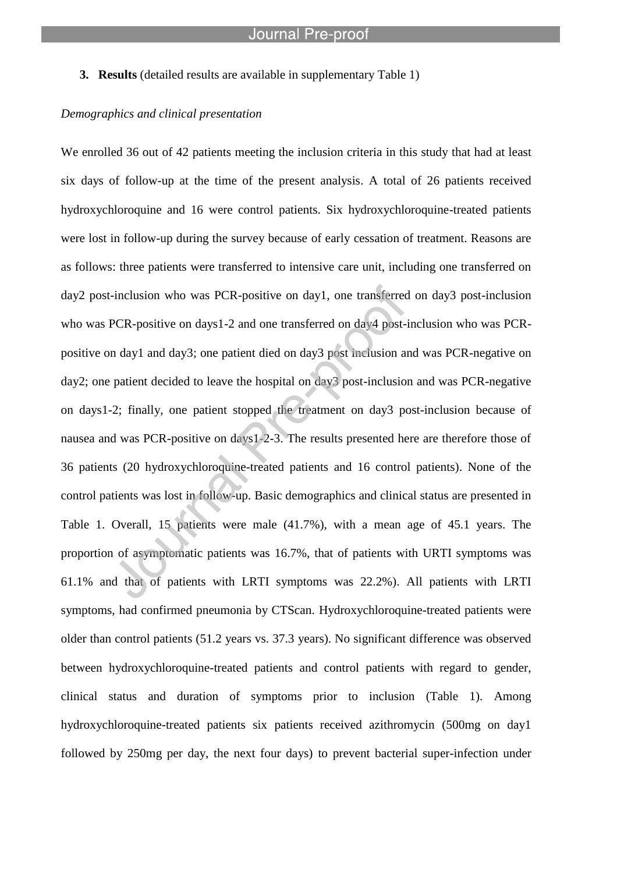**3. Results** (detailed results are available in supplementary Table 1)

l

# *Demographics and clinical presentation*

We enrolled 36 out of 42 patients meeting the inclusion criteria in this study that had at least six days of follow-up at the time of the present analysis. A total of 26 patients received hydroxychloroquine and 16 were control patients. Six hydroxychloroquine-treated patients were lost in follow-up during the survey because of early cessation of treatment. Reasons are as follows: three patients were transferred to intensive care unit, including one transferred on day2 post-inclusion who was PCR-positive on day1, one transferred on day3 post-inclusion who was PCR-positive on days1-2 and one transferred on day4 post-inclusion who was PCRpositive on day1 and day3; one patient died on day3 post inclusion and was PCR-negative on day2; one patient decided to leave the hospital on day3 post-inclusion and was PCR-negative on days1-2; finally, one patient stopped the treatment on day3 post-inclusion because of nausea and was PCR-positive on days1-2-3. The results presented here are therefore those of 36 patients (20 hydroxychloroquine-treated patients and 16 control patients). None of the control patients was lost in follow-up. Basic demographics and clinical status are presented in Table 1. Overall, 15 patients were male (41.7%), with a mean age of 45.1 years. The proportion of asymptomatic patients was 16.7%, that of patients with URTI symptoms was 61.1% and that of patients with LRTI symptoms was 22.2%). All patients with LRTI symptoms, had confirmed pneumonia by CTScan. Hydroxychloroquine-treated patients were older than control patients (51.2 years vs. 37.3 years). No significant difference was observed between hydroxychloroquine-treated patients and control patients with regard to gender, clinical status and duration of symptoms prior to inclusion (Table 1). Among hydroxychloroquine-treated patients six patients received azithromycin (500mg on day1 followed by 250mg per day, the next four days) to prevent bacterial super-infection under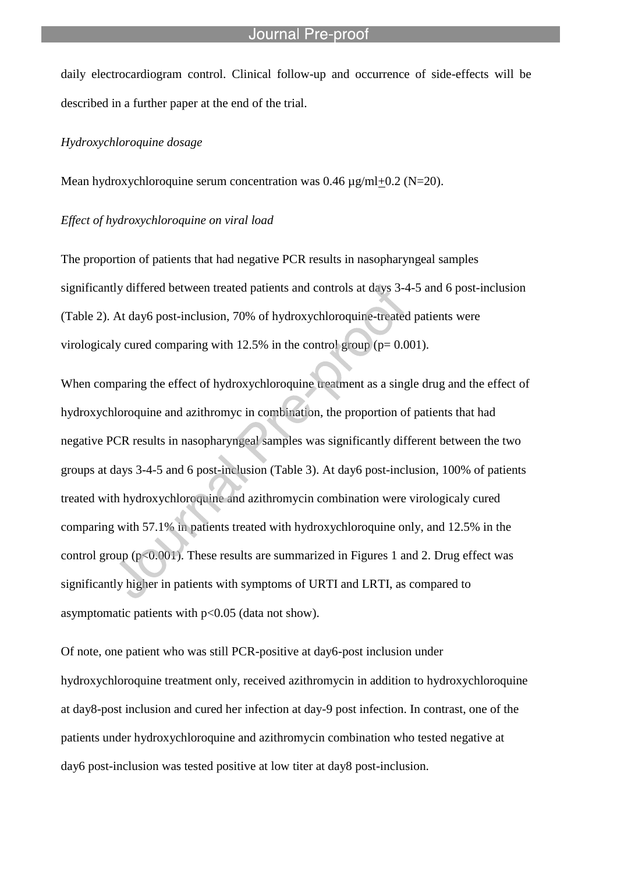daily electrocardiogram control. Clinical follow-up and occurrence of side-effects will be described in a further paper at the end of the trial.

# *Hydroxychloroquine dosage*

Mean hydroxychloroquine serum concentration was  $0.46 \mu g/ml + 0.2 (N=20)$ .

l

#### *Effect of hydroxychloroquine on viral load*

The proportion of patients that had negative PCR results in nasopharyngeal samples significantly differed between treated patients and controls at days 3-4-5 and 6 post-inclusion (Table 2). At day6 post-inclusion, 70% of hydroxychloroquine-treated patients were virologicaly cured comparing with  $12.5\%$  in the control group ( $p= 0.001$ ).

When comparing the effect of hydroxychloroquine treatment as a single drug and the effect of hydroxychloroquine and azithromyc in combination, the proportion of patients that had negative PCR results in nasopharyngeal samples was significantly different between the two groups at days 3-4-5 and 6 post-inclusion (Table 3). At day6 post-inclusion, 100% of patients treated with hydroxychloroquine and azithromycin combination were virologicaly cured comparing with 57.1% in patients treated with hydroxychloroquine only, and 12.5% in the control group ( $p<0.001$ ). These results are summarized in Figures 1 and 2. Drug effect was significantly higher in patients with symptoms of URTI and LRTI, as compared to asymptomatic patients with p<0.05 (data not show).

Of note, one patient who was still PCR-positive at day6-post inclusion under hydroxychloroquine treatment only, received azithromycin in addition to hydroxychloroquine at day8-post inclusion and cured her infection at day-9 post infection. In contrast, one of the patients under hydroxychloroquine and azithromycin combination who tested negative at day6 post-inclusion was tested positive at low titer at day8 post-inclusion.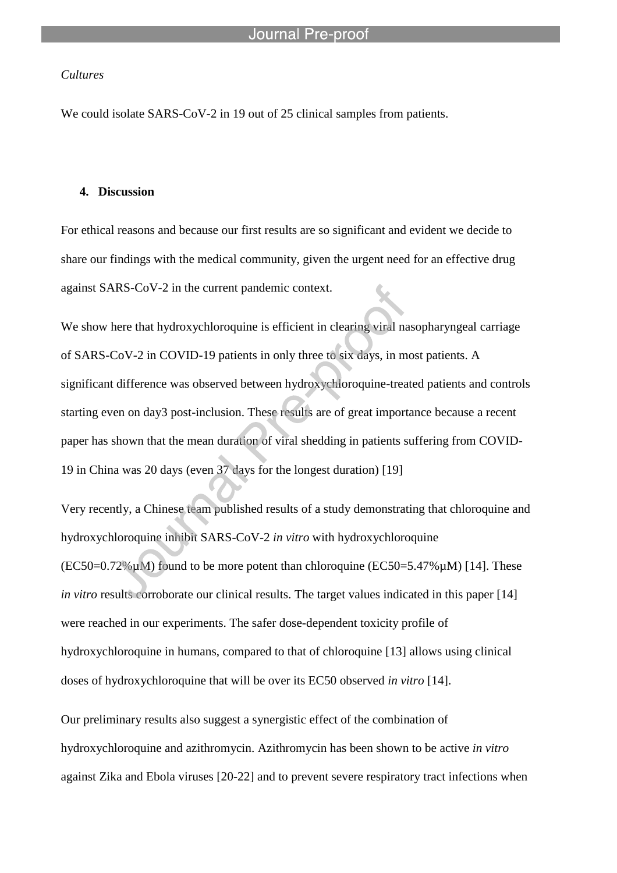## *Cultures*

We could isolate SARS-CoV-2 in 19 out of 25 clinical samples from patients.

l

### **4. Discussion**

For ethical reasons and because our first results are so significant and evident we decide to share our findings with the medical community, given the urgent need for an effective drug against SARS-CoV-2 in the current pandemic context.

We show here that hydroxychloroquine is efficient in clearing viral nasopharyngeal carriage of SARS-CoV-2 in COVID-19 patients in only three to six days, in most patients. A significant difference was observed between hydroxychloroquine-treated patients and controls starting even on day3 post-inclusion. These results are of great importance because a recent paper has shown that the mean duration of viral shedding in patients suffering from COVID-19 in China was 20 days (even 37 days for the longest duration) [19]

Very recently, a Chinese team published results of a study demonstrating that chloroquine and hydroxychloroquine inhibit SARS-CoV-2 *in vitro* with hydroxychloroquine  $(EC50=0.72\% \mu M)$  found to be more potent than chloroquine  $(EC50=5.47\% \mu M)$  [14]. These *in vitro* results corroborate our clinical results. The target values indicated in this paper [14] were reached in our experiments. The safer dose-dependent toxicity profile of hydroxychloroquine in humans, compared to that of chloroquine [13] allows using clinical doses of hydroxychloroquine that will be over its EC50 observed *in vitro* [14].

Our preliminary results also suggest a synergistic effect of the combination of hydroxychloroquine and azithromycin. Azithromycin has been shown to be active *in vitro* against Zika and Ebola viruses [20-22] and to prevent severe respiratory tract infections when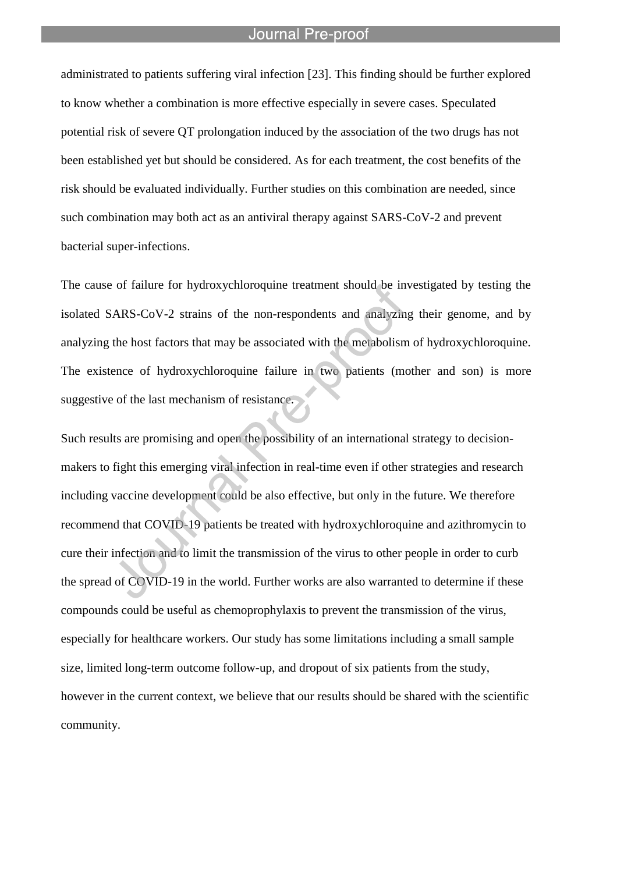l

administrated to patients suffering viral infection [23]. This finding should be further explored to know whether a combination is more effective especially in severe cases. Speculated potential risk of severe QT prolongation induced by the association of the two drugs has not been established yet but should be considered. As for each treatment, the cost benefits of the risk should be evaluated individually. Further studies on this combination are needed, since such combination may both act as an antiviral therapy against SARS-CoV-2 and prevent bacterial super-infections.

The cause of failure for hydroxychloroquine treatment should be investigated by testing the isolated SARS-CoV-2 strains of the non-respondents and analyzing their genome, and by analyzing the host factors that may be associated with the metabolism of hydroxychloroquine. The existence of hydroxychloroquine failure in two patients (mother and son) is more suggestive of the last mechanism of resistance.

Such results are promising and open the possibility of an international strategy to decisionmakers to fight this emerging viral infection in real-time even if other strategies and research including vaccine development could be also effective, but only in the future. We therefore recommend that COVID-19 patients be treated with hydroxychloroquine and azithromycin to cure their infection and to limit the transmission of the virus to other people in order to curb the spread of COVID-19 in the world. Further works are also warranted to determine if these compounds could be useful as chemoprophylaxis to prevent the transmission of the virus, especially for healthcare workers. Our study has some limitations including a small sample size, limited long-term outcome follow-up, and dropout of six patients from the study, however in the current context, we believe that our results should be shared with the scientific community.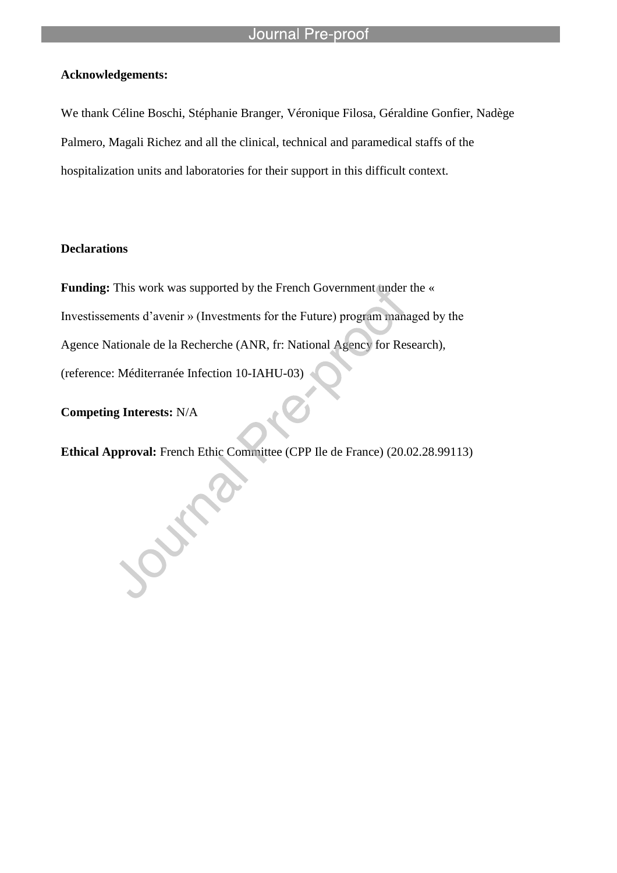# **Acknowledgements:**

We thank Céline Boschi, Stéphanie Branger, Véronique Filosa, Géraldine Gonfier, Nadège Palmero, Magali Richez and all the clinical, technical and paramedical staffs of the hospitalization units and laboratories for their support in this difficult context.

l

# **Declarations**

**Funding:** This work was supported by the French Government under the « Investissements d'avenir » (Investments for the Future) program managed by the Agence Nationale de la Recherche (ANR, fr: National Agency for Research), (reference: Méditerranée Infection 10-IAHU-03)

**Competing Interests:** N/A

**Ethical Approval:** French Ethic Committee (CPP Ile de France) (20.02.28.99113)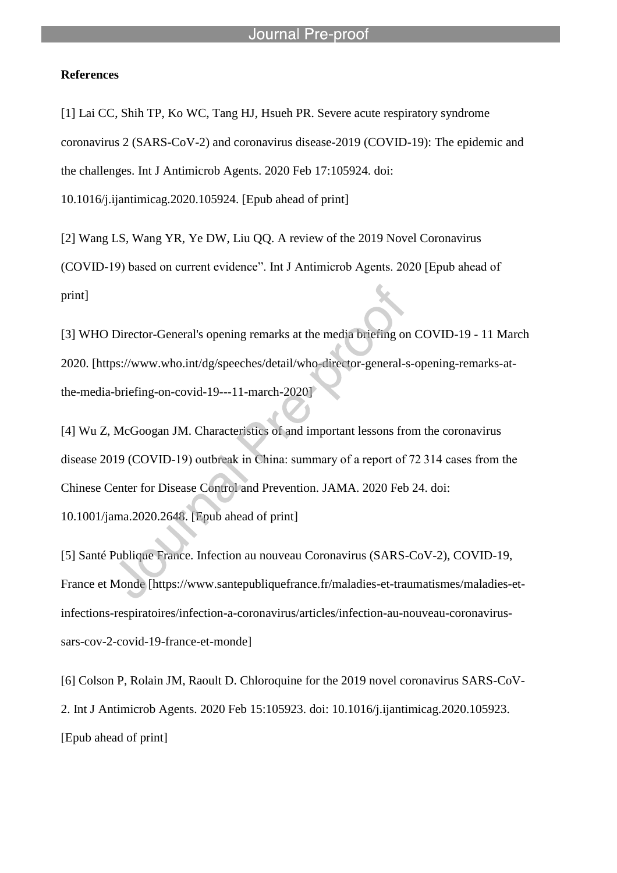### **References**

[1] Lai CC, Shih TP, Ko WC, Tang HJ, Hsueh PR. Severe acute respiratory syndrome coronavirus 2 (SARS-CoV-2) and coronavirus disease-2019 (COVID-19): The epidemic and the challenges. Int J Antimicrob Agents. 2020 Feb 17:105924. doi: 10.1016/j.ijantimicag.2020.105924. [Epub ahead of print]

[2] Wang LS, Wang YR, Ye DW, Liu QQ. A review of the 2019 Novel Coronavirus (COVID-19) based on current evidence". Int J Antimicrob Agents. 2020 [Epub ahead of print]

[3] WHO Director-General's opening remarks at the media briefing on COVID-19 - 11 March 2020. [https://www.who.int/dg/speeches/detail/who-director-general-s-opening-remarks-atthe-media-briefing-on-covid-19---11-march-2020]

[4] Wu Z, McGoogan JM. Characteristics of and important lessons from the coronavirus disease 2019 (COVID-19) outbreak in China: summary of a report of 72 314 cases from the Chinese Center for Disease Control and Prevention. JAMA. 2020 Feb 24. doi: 10.1001/jama.2020.2648. [Epub ahead of print]

[5] Santé Publique France. Infection au nouveau Coronavirus (SARS-CoV-2), COVID-19, France et Monde [https://www.santepubliquefrance.fr/maladies-et-traumatismes/maladies-etinfections-respiratoires/infection-a-coronavirus/articles/infection-au-nouveau-coronavirussars-cov-2-covid-19-france-et-monde]

[6] Colson P, Rolain JM, Raoult D. Chloroquine for the 2019 novel coronavirus SARS-CoV-2. Int J Antimicrob Agents. 2020 Feb 15:105923. doi: 10.1016/j.ijantimicag.2020.105923. [Epub ahead of print]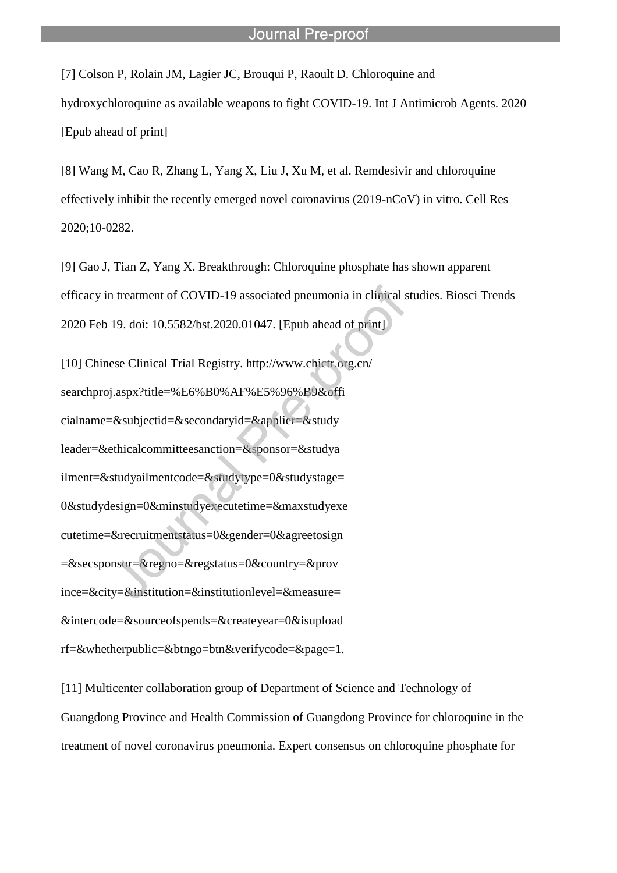[7] Colson P, Rolain JM, Lagier JC, Brouqui P, Raoult D. Chloroquine and hydroxychloroquine as available weapons to fight COVID-19. Int J Antimicrob Agents. 2020 [Epub ahead of print]

l

[8] Wang M, Cao R, Zhang L, Yang X, Liu J, Xu M, et al. Remdesivir and chloroquine effectively inhibit the recently emerged novel coronavirus (2019-nCoV) in vitro. Cell Res 2020;10-0282.

[9] Gao J, Tian Z, Yang X. Breakthrough: Chloroquine phosphate has shown apparent efficacy in treatment of COVID-19 associated pneumonia in clinical studies. Biosci Trends 2020 Feb 19. doi: 10.5582/bst.2020.01047. [Epub ahead of print]

[10] Chinese Clinical Trial Registry. http://www.chictr.org.cn/ searchproj.aspx?title=%E6%B0%AF%E5%96%B9&offi cialname=&subjectid=&secondaryid=&applier=&study leader=&ethicalcommitteesanction=&sponsor=&studya ilment=&studyailmentcode=&studytype=0&studystage= 0&studydesign=0&minstudyexecutetime=&maxstudyexe cutetime=&recruitmentstatus=0&gender=0&agreetosign =&secsponsor=&regno=&regstatus=0&country=&prov ince=&city=&institution=&institutionlevel=&measure= &intercode=&sourceofspends=&createyear=0&isupload rf=&whetherpublic=&btngo=btn&verifycode=&page=1.

[11] Multicenter collaboration group of Department of Science and Technology of Guangdong Province and Health Commission of Guangdong Province for chloroquine in the treatment of novel coronavirus pneumonia. Expert consensus on chloroquine phosphate for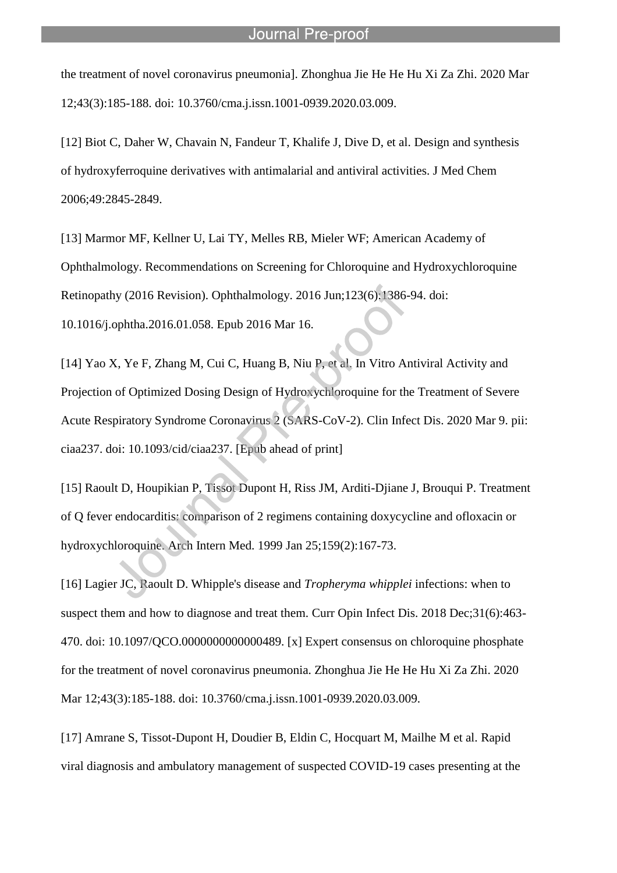the treatment of novel coronavirus pneumonia]. Zhonghua Jie He He Hu Xi Za Zhi. 2020 Mar 12;43(3):185-188. doi: 10.3760/cma.j.issn.1001-0939.2020.03.009.

l

[12] Biot C, Daher W, Chavain N, Fandeur T, Khalife J, Dive D, et al. Design and synthesis of hydroxyferroquine derivatives with antimalarial and antiviral activities. J Med Chem 2006;49:2845-2849.

[13] Marmor MF, Kellner U, Lai TY, Melles RB, Mieler WF; American Academy of Ophthalmology. Recommendations on Screening for Chloroquine and Hydroxychloroquine Retinopathy (2016 Revision). Ophthalmology. 2016 Jun;123(6):1386-94. doi:

10.1016/j.ophtha.2016.01.058. Epub 2016 Mar 16.

[14] Yao X, Ye F, Zhang M, Cui C, Huang B, Niu P, et al. In Vitro Antiviral Activity and Projection of Optimized Dosing Design of Hydroxychloroquine for the Treatment of Severe Acute Respiratory Syndrome Coronavirus 2 (SARS-CoV-2). Clin Infect Dis. 2020 Mar 9. pii: ciaa237. doi: 10.1093/cid/ciaa237. [Epub ahead of print]

[15] Raoult D, Houpikian P, Tissot Dupont H, Riss JM, Arditi-Djiane J, Brouqui P. Treatment of Q fever endocarditis: comparison of 2 regimens containing doxycycline and ofloxacin or hydroxychloroquine. Arch Intern Med. 1999 Jan 25;159(2):167-73.

[16] Lagier JC, Raoult D. Whipple's disease and *Tropheryma whipplei* infections: when to suspect them and how to diagnose and treat them. Curr Opin Infect Dis. 2018 Dec;31(6):463- 470. doi: 10.1097/QCO.0000000000000489. [x] Expert consensus on chloroquine phosphate for the treatment of novel coronavirus pneumonia. Zhonghua Jie He He Hu Xi Za Zhi. 2020 Mar 12;43(3):185-188. doi: 10.3760/cma.j.issn.1001-0939.2020.03.009.

[17] Amrane S, Tissot-Dupont H, Doudier B, Eldin C, Hocquart M, Mailhe M et al. Rapid viral diagnosis and ambulatory management of suspected COVID-19 cases presenting at the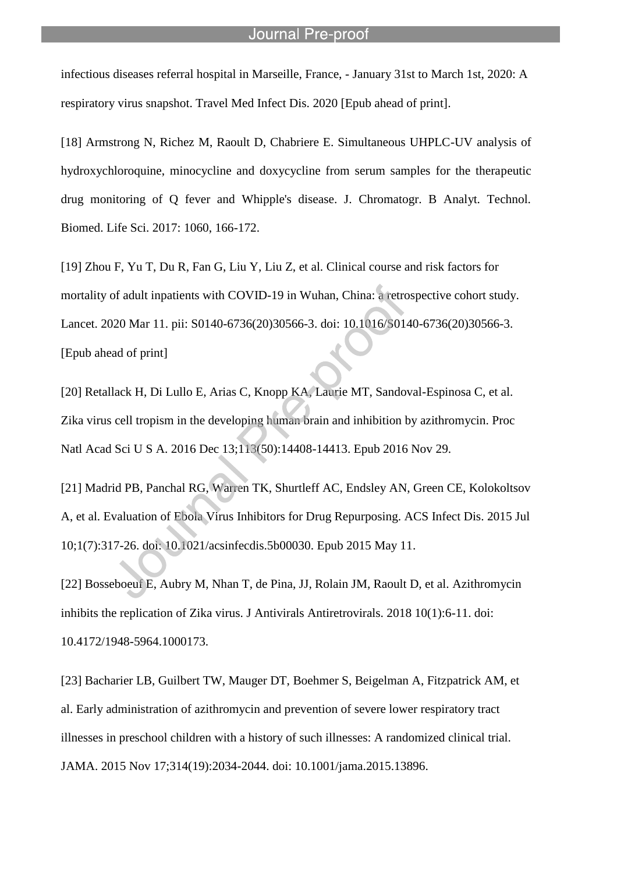infectious diseases referral hospital in Marseille, France, - January 31st to March 1st, 2020: A respiratory virus snapshot. Travel Med Infect Dis. 2020 [Epub ahead of print].

l

[18] Armstrong N, Richez M, Raoult D, Chabriere E. Simultaneous UHPLC-UV analysis of hydroxychloroquine, minocycline and doxycycline from serum samples for the therapeutic drug monitoring of Q fever and Whipple's disease. J. Chromatogr. B Analyt. Technol. Biomed. Life Sci. 2017: 1060, 166-172.

[19] Zhou F, Yu T, Du R, Fan G, Liu Y, Liu Z, et al. Clinical course and risk factors for mortality of adult inpatients with COVID-19 in Wuhan, China: a retrospective cohort study. Lancet. 2020 Mar 11. pii: S0140-6736(20)30566-3. doi: 10.1016/S0140-6736(20)30566-3. [Epub ahead of print]

[20] Retallack H, Di Lullo E, Arias C, Knopp KA, Laurie MT, Sandoval-Espinosa C, et al. Zika virus cell tropism in the developing human brain and inhibition by azithromycin. Proc Natl Acad Sci U S A. 2016 Dec 13;113(50):14408-14413. Epub 2016 Nov 29.

[21] Madrid PB, Panchal RG, Warren TK, Shurtleff AC, Endsley AN, Green CE, Kolokoltsov A, et al. Evaluation of Ebola Virus Inhibitors for Drug Repurposing. ACS Infect Dis. 2015 Jul 10;1(7):317-26. doi: 10.1021/acsinfecdis.5b00030. Epub 2015 May 11.

[22] Bosseboeuf E, Aubry M, Nhan T, de Pina, JJ, Rolain JM, Raoult D, et al. Azithromycin inhibits the replication of Zika virus. J Antivirals Antiretrovirals. 2018 10(1):6-11. doi: 10.4172/1948-5964.1000173.

[23] Bacharier LB, Guilbert TW, Mauger DT, Boehmer S, Beigelman A, Fitzpatrick AM, et al. Early administration of azithromycin and prevention of severe lower respiratory tract illnesses in preschool children with a history of such illnesses: A randomized clinical trial. JAMA. 2015 Nov 17;314(19):2034-2044. doi: 10.1001/jama.2015.13896.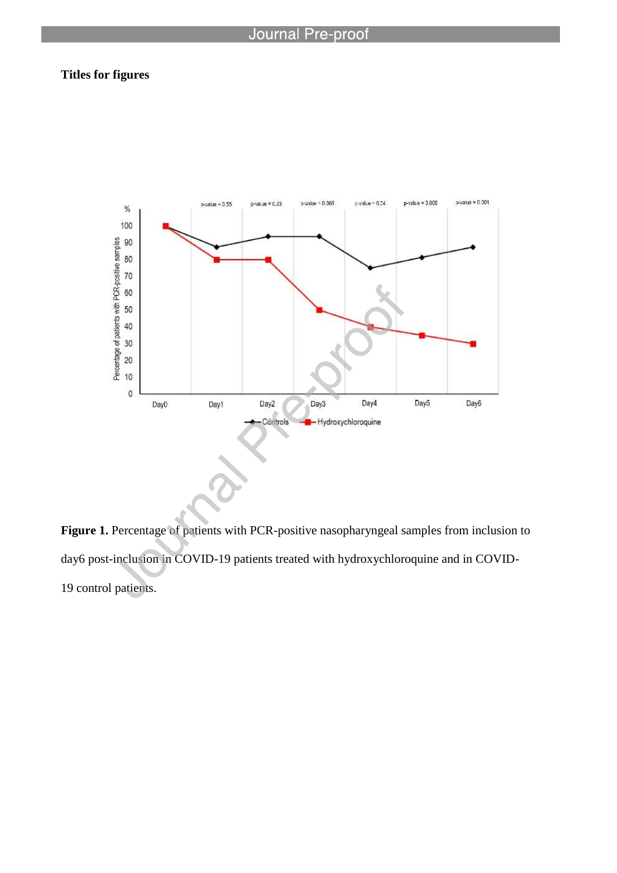l

# **Titles for figures**



Figure 1. Percentage of patients with PCR-positive nasopharyngeal samples from inclusion to day6 post-inclusion in COVID-19 patients treated with hydroxychloroquine and in COVID-19 control patients.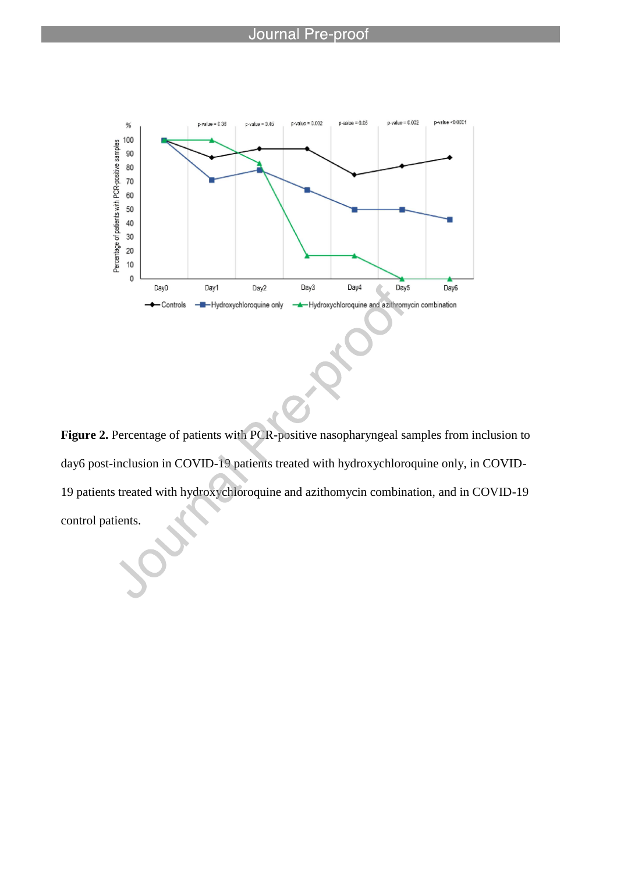

**Figure 2.** Percentage of patients with PCR-positive nasopharyngeal samples from inclusion to day6 post-inclusion in COVID-19 patients treated with hydroxychloroquine only, in COVID-19 patients treated with hydroxychloroquine and azithomycin combination, and in COVID-19 control patients.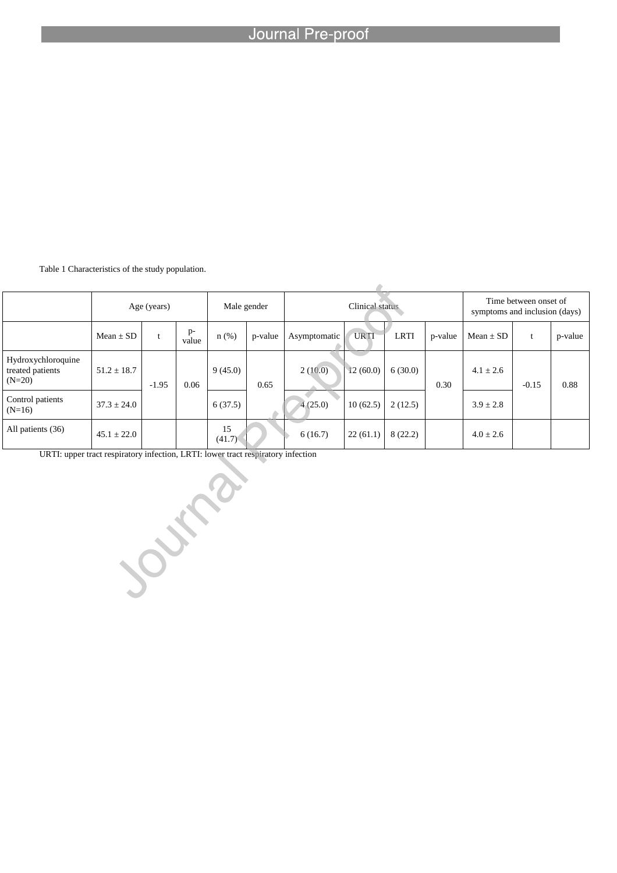Table 1 Characteristics of the study population.

|                                                    | Age (years)     |         |               |              | Male gender |              | Time between onset of<br>symptoms and inclusion (days) |             |         |               |         |         |
|----------------------------------------------------|-----------------|---------|---------------|--------------|-------------|--------------|--------------------------------------------------------|-------------|---------|---------------|---------|---------|
|                                                    | $Mean \pm SD$   |         | $p-$<br>value | n(%)         | p-value     | Asymptomatic | <b>URTI</b>                                            | <b>LRTI</b> | p-value | $Mean \pm SD$ | t       | p-value |
| Hydroxychloroquine<br>treated patients<br>$(N=20)$ | $51.2 \pm 18.7$ | $-1.95$ | 0.06          | 9(45.0)      | 0.65        | 2(10.0)      | 12(60.0)                                               | 6(30.0)     | 0.30    | $4.1 \pm 2.6$ | $-0.15$ | 0.88    |
| Control patients<br>$(N=16)$                       | $37.3 \pm 24.0$ |         |               | 6(37.5)      |             | 4(25.0)      | 10(62.5)                                               | 2(12.5)     |         | $3.9 \pm 2.8$ |         |         |
| All patients (36)                                  | $45.1 \pm 22.0$ |         |               | 15<br>(41.7) |             | 6(16.7)      | 22(61.1)                                               | 8(22.2)     |         | $4.0 \pm 2.6$ |         |         |

URTI: upper tract respiratory infection, LRTI: lower tract respiratory infection Journal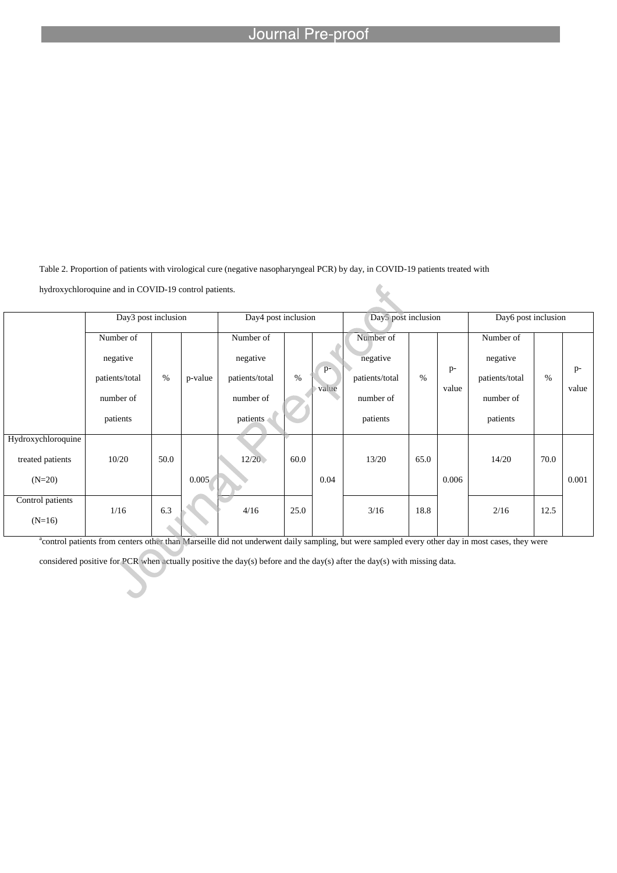Table 2. Proportion of patients with virological cure (negative nasopharyngeal PCR) by day, in COVID-19 patients treated with

hydroxychloroquine and in COVID-19 control patients.

|                              | Day3 post inclusion |      |         | Day4 post inclusion |      |       | Day5 post inclusion |      |       | Day6 post inclusion |      |       |
|------------------------------|---------------------|------|---------|---------------------|------|-------|---------------------|------|-------|---------------------|------|-------|
|                              | Number of           |      |         | Number of           |      |       | Number of           |      |       | Number of           |      |       |
|                              | negative            |      |         | negative            |      |       | negative            |      |       | negative            |      |       |
|                              | patients/total      | $\%$ | p-value | patients/total      | $\%$ | $p-$  | patients/total      | $\%$ | $p-$  | patients/total      | $\%$ | $p-$  |
|                              | number of           |      |         | number of           |      | value | number of           |      | value | number of           |      | value |
|                              | patients            |      |         | patients            |      |       | patients            |      |       | patients            |      |       |
| Hydroxychloroquine           |                     |      |         |                     |      |       |                     |      |       |                     |      |       |
| treated patients             | 10/20               | 50.0 |         | 12/20               | 60.0 |       | 13/20               | 65.0 |       | 14/20               | 70.0 |       |
| $(N=20)$                     |                     |      | 0.005   |                     |      | 0.04  |                     |      | 0.006 |                     |      | 0.001 |
| Control patients<br>$(N=16)$ | 1/16                | 6.3  |         | 4/16                | 25.0 |       | 3/16                | 18.8 |       | 2/16                | 12.5 |       |

×

<sup>a</sup>control patients from centers other than Marseille did not underwent daily sampling, but were sampled every other day in most cases, they were

considered positive for PCR when actually positive the day(s) before and the day(s) after the day(s) with missing data.